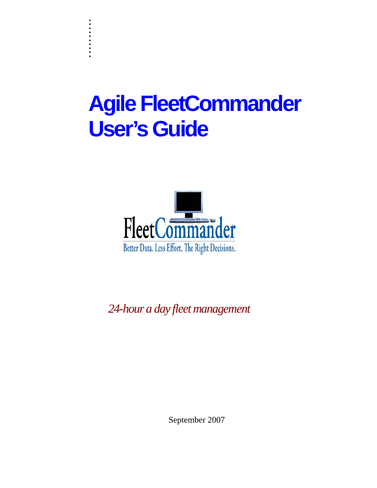# **Agile FleetCommander User's Guide**

. . :<br>: :<br>: . . :<br>: . :<br>: :<br>:



*24-hour a day fleet management* 

September 2007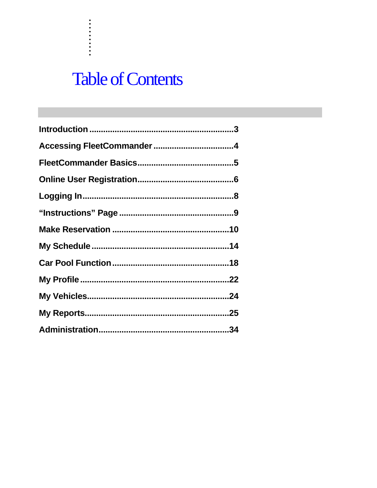## **Table of Contents**

. . . . . . . . . . .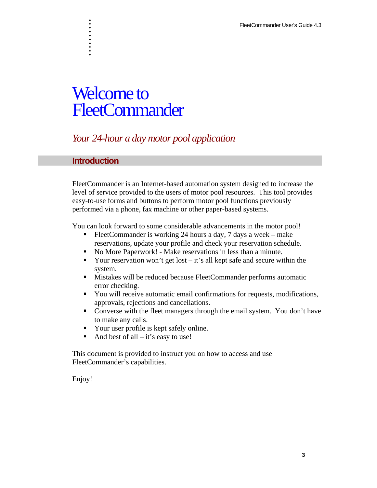## Welcome to FleetCommander

## *Your 24-hour a day motor pool application*

## **Introduction**

. . . . . . . . . .

FleetCommander is an Internet-based automation system designed to increase the level of service provided to the users of motor pool resources. This tool provides easy-to-use forms and buttons to perform motor pool functions previously performed via a phone, fax machine or other paper-based systems.

You can look forward to some considerable advancements in the motor pool!

- FleetCommander is working 24 hours a day, 7 days a week make reservations, update your profile and check your reservation schedule.
- No More Paperwork! Make reservations in less than a minute.
- Your reservation won't get lost  $-$  it's all kept safe and secure within the system.
- Mistakes will be reduced because FleetCommander performs automatic error checking.
- You will receive automatic email confirmations for requests, modifications, approvals, rejections and cancellations.
- Converse with the fleet managers through the email system. You don't have to make any calls.
- Your user profile is kept safely online.
- And best of all  $-$  it's easy to use!

This document is provided to instruct you on how to access and use FleetCommander's capabilities.

Enjoy!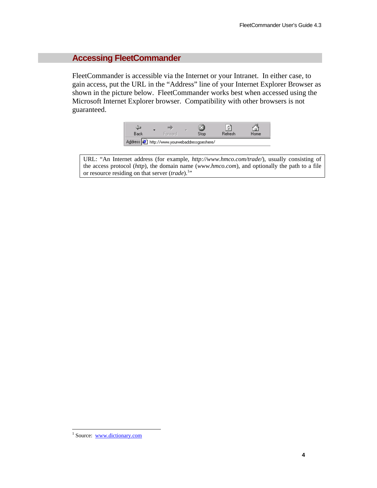## **Accessing FleetCommander**

FleetCommander is accessible via the Internet or your Intranet. In either case, to gain access, put the URL in the "Address" line of your Internet Explorer Browser as shown in the picture below. FleetCommander works best when accessed using the Microsoft Internet Explorer browser. Compatibility with other browsers is not guaranteed.



URL: "An Internet address (for example, *http://www.hmco.com/trade/*), usually consisting of the access protocol (*http*), the domain name (*www.hmco.com*), and optionally the path to a file or resource residing on that server (*trade*).<sup>1</sup>"

-

<sup>&</sup>lt;sup>1</sup> Source: <u>www.dictionary.com</u>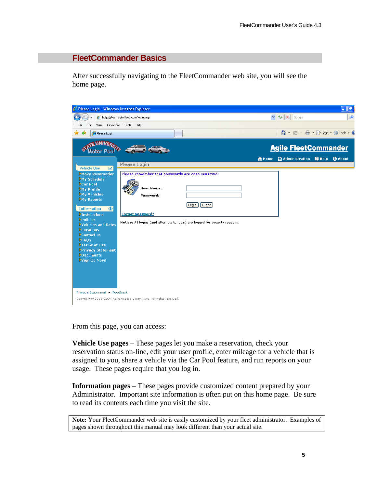## **FleetCommander Basics**

After successfully navigating to the FleetCommander web site, you will see the home page.



From this page, you can access:

**Vehicle Use pages** – These pages let you make a reservation, check your reservation status on-line, edit your user profile, enter mileage for a vehicle that is assigned to you, share a vehicle via the Car Pool feature, and run reports on your usage. These pages require that you log in.

**Information pages** – These pages provide customized content prepared by your Administrator. Important site information is often put on this home page. Be sure to read its contents each time you visit the site.

**Note:** Your FleetCommander web site is easily customized by your fleet administrator. Examples of pages shown throughout this manual may look different than your actual site.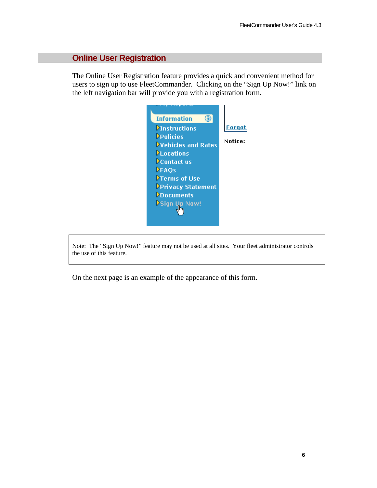## **Online User Registration**

The Online User Registration feature provides a quick and convenient method for users to sign up to use FleetCommander. Clicking on the "Sign Up Now!" link on the left navigation bar will provide you with a registration form.



Note: The "Sign Up Now!" feature may not be used at all sites. Your fleet administrator controls the use of this feature.

On the next page is an example of the appearance of this form.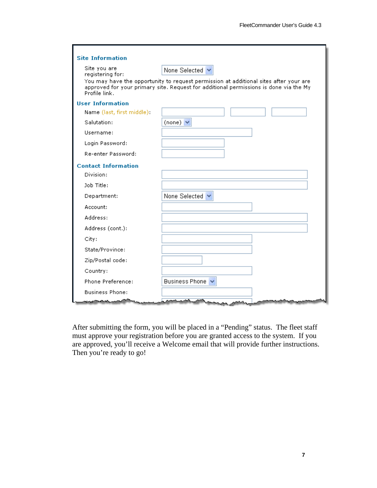| <b>Site Information</b>          |                                                                                                                                                                                |
|----------------------------------|--------------------------------------------------------------------------------------------------------------------------------------------------------------------------------|
| Site you are<br>registering for: | None Selected V                                                                                                                                                                |
| Profile link.                    | You may have the opportunity to request permission at additional sites after your are<br>approved for your primary site. Request for additional permissions is done via the My |
| <b>User Information</b>          |                                                                                                                                                                                |
| Name (last, first middle):       |                                                                                                                                                                                |
| Salutation:                      | (none) $\blacktriangledown$                                                                                                                                                    |
| Username:                        |                                                                                                                                                                                |
| Login Password:                  |                                                                                                                                                                                |
| Re-enter Password:               |                                                                                                                                                                                |
| <b>Contact Information</b>       |                                                                                                                                                                                |
| Division:                        |                                                                                                                                                                                |
| Job Title:                       |                                                                                                                                                                                |
| Department:                      | None Selected V                                                                                                                                                                |
| Account:                         |                                                                                                                                                                                |
| Address:                         |                                                                                                                                                                                |
| Address (cont.):                 |                                                                                                                                                                                |
| City:                            |                                                                                                                                                                                |
| State/Province:                  |                                                                                                                                                                                |
| Zip/Postal code:                 |                                                                                                                                                                                |
| Country:                         |                                                                                                                                                                                |
| Phone Preference:                | Business Phone V                                                                                                                                                               |
| <b>Business Phone:</b>           |                                                                                                                                                                                |
|                                  | <b>AA</b><br>حمد                                                                                                                                                               |

After submitting the form, you will be placed in a "Pending" status. The fleet staff must approve your registration before you are granted access to the system. If you are approved, you'll receive a Welcome email that will provide further instructions. Then you're ready to go!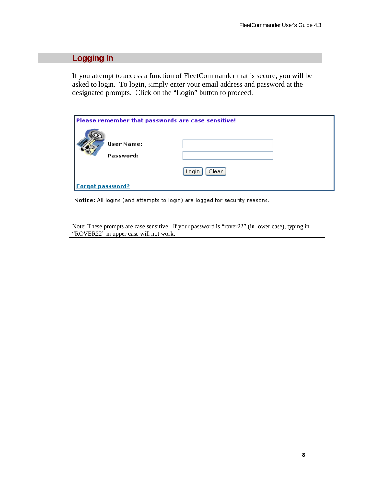## **Logging In**

If you attempt to access a function of FleetCommander that is secure, you will be asked to login. To login, simply enter your email address and password at the designated prompts. Click on the "Login" button to proceed.

| Please remember that passwords are case sensitive! |                |  |  |
|----------------------------------------------------|----------------|--|--|
| User Name:<br>Password:                            |                |  |  |
|                                                    | Clear<br>Login |  |  |
| <b>Forgot password?</b>                            |                |  |  |

Notice: All logins (and attempts to login) are logged for security reasons.

Note: These prompts are case sensitive. If your password is "rover22" (in lower case), typing in "ROVER22" in upper case will not work.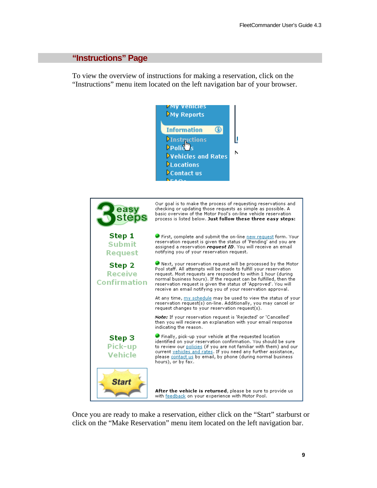## **"Instructions" Page**

To view the overview of instructions for making a reservation, click on the "Instructions" menu item located on the left navigation bar of your browser.





Once you are ready to make a reservation, either click on the "Start" starburst or click on the "Make Reservation" menu item located on the left navigation bar.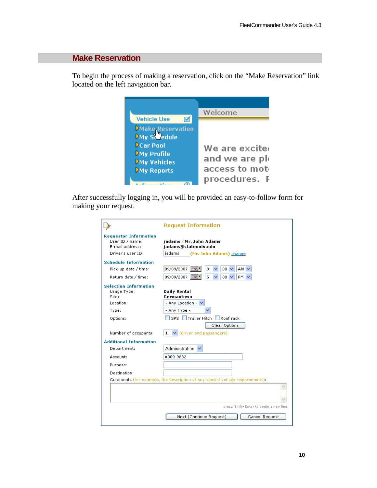## **Make Reservation**

To begin the process of making a reservation, click on the "Make Reservation" link located on the left navigation bar.

| <b>Vehicle Use</b>                                                                                                                 | Welcome                                                           |
|------------------------------------------------------------------------------------------------------------------------------------|-------------------------------------------------------------------|
| Make Reservation<br>My S <sup>tro</sup> edule<br><b>Car Pool</b><br><b>DMy Profile</b><br><b>DMy Vehicles</b><br><b>My Reports</b> | We are excite<br>and we are ple<br>access to mot<br>procedures. F |

After successfully logging in, you will be provided an easy-to-follow form for making your request.

|                                                 | <b>Request Information</b>                                                   |
|-------------------------------------------------|------------------------------------------------------------------------------|
| <b>Requestor Information</b><br>User ID / name: | iadams / Mr. John Adams                                                      |
| E-mail address:                                 | jadams@stateuniv.edu                                                         |
| Driver's user ID:                               | jadams<br>(Mr. John Adams) change                                            |
| <b>Schedule Information</b>                     |                                                                              |
| Pick-up date / time:                            | 09/09/2007<br>les 1<br>8<br>$00 \vee$<br>AM I                                |
| Return date / time:                             | 09/09/2007<br>5<br>00 <sub>1</sub><br>PM.<br>⊫o                              |
| <b>Selection Information</b>                    |                                                                              |
| Usage Type:<br>Site:                            | <b>Daily Rental</b><br>Germantown                                            |
| Location:                                       | - Any Location - N                                                           |
| Type:                                           | - Any Type -                                                                 |
| Options:                                        | GPS Trailer Hitch Roof rack                                                  |
|                                                 | Clear Options                                                                |
| Number of occupants:                            | (driver and passengers)<br>1                                                 |
| <b>Additional Information</b>                   |                                                                              |
| Department:                                     | Administration                                                               |
| Account:                                        | A009-9832                                                                    |
| Purpose:                                        |                                                                              |
| Destination:                                    |                                                                              |
|                                                 | Comments (for example, the description of any special vehicle requirements): |
|                                                 |                                                                              |
|                                                 |                                                                              |
|                                                 |                                                                              |
|                                                 | press Shift+Enter to begin a new line                                        |
|                                                 | Next (Continue Request)<br>Cancel Request                                    |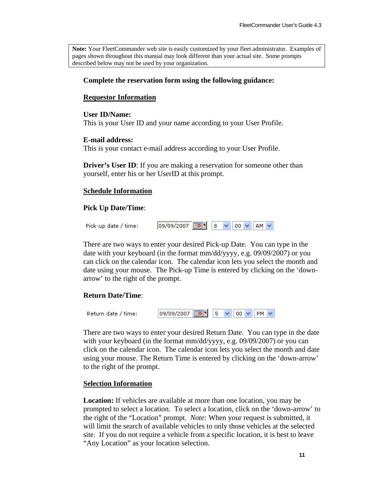**Note:** Your FleetCommander web site is easily customized by your fleet administrator. Examples of pages shown throughout this manual may look different than your actual site. Some prompts described below may not be used by your organization.

#### **Complete the reservation form using the following guidance:**

#### **Requestor Information**

#### **User ID/Name:**

This is your User ID and your name according to your User Profile.

#### **E-mail address:**

This is your contact e-mail address according to your User Profile.

**Driver's User ID:** If you are making a reservation for some other than yourself, enter his or her UserID at this prompt.

#### **Schedule Information**

#### **Pick Up Date/Time**:

| Pick-up date / time: | 09/09/2007 8 V 00 V AM V |  |  |  |  |  |
|----------------------|--------------------------|--|--|--|--|--|
|----------------------|--------------------------|--|--|--|--|--|

There are two ways to enter your desired Pick-up Date. You can type in the date with your keyboard (in the format mm/dd/yyyy, e.g. 09/09/2007) or you can click on the calendar icon. The calendar icon lets you select the month and date using your mouse. The Pick-up Time is entered by clicking on the 'downarrow' to the right of the prompt.

#### **Return Date/Time**:

| Return date / time: | 09/09/2007 3 5 V 00 V PM V |  |  |  |  |  |  |  |  |
|---------------------|----------------------------|--|--|--|--|--|--|--|--|
|---------------------|----------------------------|--|--|--|--|--|--|--|--|

There are two ways to enter your desired Return Date. You can type in the date with your keyboard (in the format mm/dd/yyyy, e.g. 09/09/2007) or you can click on the calendar icon. The calendar icon lets you select the month and date using your mouse. The Return Time is entered by clicking on the 'down-arrow' to the right of the prompt.

#### **Selection Information**

**Location:** If vehicles are available at more than one location, you may be prompted to select a location. To select a location, click on the 'down-arrow' to the right of the "Location" prompt. *Note:* When your request is submitted, it will limit the search of available vehicles to only those vehicles at the selected site. If you do not require a vehicle from a specific location, it is best to leave "Any Location" as your location selection.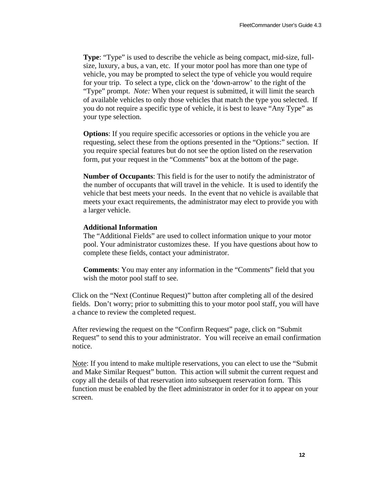**Type**: "Type" is used to describe the vehicle as being compact, mid-size, fullsize, luxury, a bus, a van, etc. If your motor pool has more than one type of vehicle, you may be prompted to select the type of vehicle you would require for your trip. To select a type, click on the 'down-arrow' to the right of the "Type" prompt. *Note:* When your request is submitted, it will limit the search of available vehicles to only those vehicles that match the type you selected. If you do not require a specific type of vehicle, it is best to leave "Any Type" as your type selection.

**Options**: If you require specific accessories or options in the vehicle you are requesting, select these from the options presented in the "Options:" section. If you require special features but do not see the option listed on the reservation form, put your request in the "Comments" box at the bottom of the page.

**Number of Occupants**: This field is for the user to notify the administrator of the number of occupants that will travel in the vehicle. It is used to identify the vehicle that best meets your needs. In the event that no vehicle is available that meets your exact requirements, the administrator may elect to provide you with a larger vehicle.

#### **Additional Information**

The "Additional Fields" are used to collect information unique to your motor pool. Your administrator customizes these. If you have questions about how to complete these fields, contact your administrator.

**Comments**: You may enter any information in the "Comments" field that you wish the motor pool staff to see.

Click on the "Next (Continue Request)" button after completing all of the desired fields. Don't worry; prior to submitting this to your motor pool staff, you will have a chance to review the completed request.

After reviewing the request on the "Confirm Request" page, click on "Submit Request" to send this to your administrator. You will receive an email confirmation notice.

Note: If you intend to make multiple reservations, you can elect to use the "Submit and Make Similar Request" button. This action will submit the current request and copy all the details of that reservation into subsequent reservation form. This function must be enabled by the fleet administrator in order for it to appear on your screen.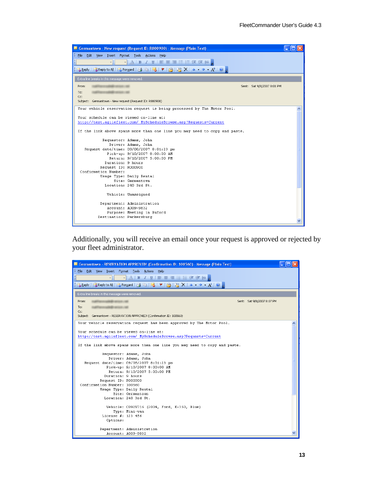|                                                         | Germantown - New request (Request ID: R000900) - Message (Plain Text)                                            |                            |  |
|---------------------------------------------------------|------------------------------------------------------------------------------------------------------------------|----------------------------|--|
| : File<br>Edit View Insert Format Tools                 | Actions<br>Help                                                                                                  |                            |  |
| ∼∥                                                      |                                                                                                                  |                            |  |
|                                                         |                                                                                                                  |                            |  |
|                                                         | Q Reply   Q Reply to All   Q Forward   4 ha   2   マ   2   マ   2   X   4 ・ マ ・ A <sup>÷</sup>   ©   <sub>Fl</sub> |                            |  |
| Extra line breaks in this message were removed.         |                                                                                                                  |                            |  |
| From:                                                   |                                                                                                                  | Sent: Sat 9/8/2007 8:01 PM |  |
| To:                                                     |                                                                                                                  |                            |  |
| Cc:                                                     |                                                                                                                  |                            |  |
| Subject: Germantown - New request (Request ID: R000900) |                                                                                                                  |                            |  |
|                                                         | Your vehicle reservation request is being processed by The Motor Pool.                                           |                            |  |
|                                                         |                                                                                                                  |                            |  |
| Your schedule can be viewed on-line at:                 |                                                                                                                  |                            |  |
|                                                         | http://test.agilefleet.com/ MyScheduleBrowse.asp?Requests=Current                                                |                            |  |
|                                                         | If the link above spans more than one line you may need to copy and paste.                                       |                            |  |
|                                                         |                                                                                                                  |                            |  |
|                                                         | Requestor: Adams, John                                                                                           |                            |  |
|                                                         | Driver: Adams, John                                                                                              |                            |  |
|                                                         | Request date/time: 09/08/2007 8:01:23 pm                                                                         |                            |  |
|                                                         | Pick-up: 9/10/2007 8:00:00 AM                                                                                    |                            |  |
|                                                         | Return: 9/10/2007 5:00:00 PM                                                                                     |                            |  |
| Duration: 9 hours                                       |                                                                                                                  |                            |  |
| Request ID: R000900                                     |                                                                                                                  |                            |  |
| Confirmation Number:                                    |                                                                                                                  |                            |  |
|                                                         | Usage Type: Daily Rental                                                                                         |                            |  |
|                                                         | Site: Germantown                                                                                                 |                            |  |
|                                                         | Location: 240 3rd St.                                                                                            |                            |  |
|                                                         | Vehicle: Unassigned                                                                                              |                            |  |
|                                                         |                                                                                                                  |                            |  |
|                                                         | Department: Administration                                                                                       |                            |  |
|                                                         | Account: A009-9832                                                                                               |                            |  |
|                                                         | Purpose: Meeting in Buford                                                                                       |                            |  |
| Destination: Parkersburg                                |                                                                                                                  |                            |  |
|                                                         |                                                                                                                  |                            |  |

Additionally, you will receive an email once your request is approved or rejected by your fleet administrator.

|                                                   | Germantown - RESERVATION APPROVED! (Confirmation ID: 100560) - Message (Plain Text)                                                                                                                                                                                                                                                                                                                    |  |
|---------------------------------------------------|--------------------------------------------------------------------------------------------------------------------------------------------------------------------------------------------------------------------------------------------------------------------------------------------------------------------------------------------------------------------------------------------------------|--|
| ÷<br>File Edit View Insert Format Tools Actions   | Help                                                                                                                                                                                                                                                                                                                                                                                                   |  |
|                                                   | A   B 7 U   青 暮 着 注 狂 龍 龍 妊 鳥                                                                                                                                                                                                                                                                                                                                                                          |  |
|                                                   | $\mathbb{E}_\bullet$ Reply   $\mathbb{E}_\bullet$ Reply to All   $\mathbb{E}_\bullet$ Forward   $\mathbb{E}_\bullet$   $\mathbb{E}_\bullet$   $\blacktriangleright$   $\mathbb{E}_\bullet$   $\mathbb{E}_\bullet$   $\mathbb{E}_\bullet$ $\mathbb{E}_\bullet$ $\mathbb{E}_\bullet$ $\mathbb{E}_\bullet$ $\mathbb{E}_\bullet$ $\mathbb{E}_\bullet$ $\mathbb{E}_\bullet$ $\mathbb{E}_\bullet$ $\mathbb{$ |  |
|                                                   |                                                                                                                                                                                                                                                                                                                                                                                                        |  |
| Extra line breaks in this message were removed.   |                                                                                                                                                                                                                                                                                                                                                                                                        |  |
| From:<br><b>CONTRACTORS</b> CONTRACTORS IN LEASE. | Sent: Sat 9/8/2007 8:07 PM                                                                                                                                                                                                                                                                                                                                                                             |  |
| To:<br><b>GARDER CONTINUES (1986)</b>             |                                                                                                                                                                                                                                                                                                                                                                                                        |  |
| Cc:                                               |                                                                                                                                                                                                                                                                                                                                                                                                        |  |
|                                                   | Subject: Germantown - RESERVATION APPROVED! (Confirmation ID: 100560)                                                                                                                                                                                                                                                                                                                                  |  |
|                                                   | Your vehicle reservation request has been approved by The Motor Pool.                                                                                                                                                                                                                                                                                                                                  |  |
|                                                   |                                                                                                                                                                                                                                                                                                                                                                                                        |  |
| Your schedule can be viewed on-line at:           | http://test.aqilefleet.com/ MyScheduleBrowse.asp?Requests=Current                                                                                                                                                                                                                                                                                                                                      |  |
|                                                   |                                                                                                                                                                                                                                                                                                                                                                                                        |  |
|                                                   | If the link above spans more than one line you may need to copy and paste.                                                                                                                                                                                                                                                                                                                             |  |
|                                                   |                                                                                                                                                                                                                                                                                                                                                                                                        |  |
|                                                   | Requestor: Adams, John                                                                                                                                                                                                                                                                                                                                                                                 |  |
|                                                   | Driver: Adams, John                                                                                                                                                                                                                                                                                                                                                                                    |  |
|                                                   | Request date/time: 09/08/2007 8:01:23 pm<br>Pick-up: 9/10/2007 8:00:00 AM                                                                                                                                                                                                                                                                                                                              |  |
|                                                   | Return: 9/10/2007 5:00:00 PM                                                                                                                                                                                                                                                                                                                                                                           |  |
| Duration: 9 hours                                 |                                                                                                                                                                                                                                                                                                                                                                                                        |  |
| Request ID: R000900                               |                                                                                                                                                                                                                                                                                                                                                                                                        |  |
| Confirmation Number: 100560                       |                                                                                                                                                                                                                                                                                                                                                                                                        |  |
|                                                   | Usage Type: Daily Rental                                                                                                                                                                                                                                                                                                                                                                               |  |
|                                                   | Site: Germantown                                                                                                                                                                                                                                                                                                                                                                                       |  |
|                                                   | Location: 240 3rd St.                                                                                                                                                                                                                                                                                                                                                                                  |  |
|                                                   |                                                                                                                                                                                                                                                                                                                                                                                                        |  |
|                                                   | Vehicle: C092N716 (2004, Ford, E-350, Blue)                                                                                                                                                                                                                                                                                                                                                            |  |
| License #: 123 456                                | Type: Mini-van                                                                                                                                                                                                                                                                                                                                                                                         |  |
| Options:                                          |                                                                                                                                                                                                                                                                                                                                                                                                        |  |
|                                                   |                                                                                                                                                                                                                                                                                                                                                                                                        |  |
|                                                   | Department: Administration                                                                                                                                                                                                                                                                                                                                                                             |  |
|                                                   | Account: A009-9832                                                                                                                                                                                                                                                                                                                                                                                     |  |
|                                                   |                                                                                                                                                                                                                                                                                                                                                                                                        |  |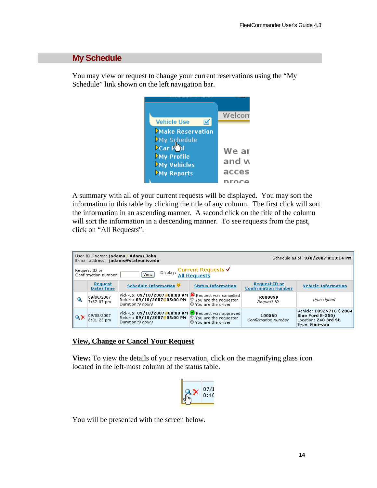## **My Schedule**

You may view or request to change your current reservations using the "My Schedule" link shown on the left navigation bar.



A summary with all of your current requests will be displayed. You may sort the information in this table by clicking the title of any column. The first click will sort the information in an ascending manner. A second click on the title of the column will sort the information in a descending manner. To see requests from the past, click on "All Requests".

|   | User ID / name: jadams / Adams John<br>Schedule as of: 9/8/2007 8:13:14 PM<br>E-mail address: jadams@stateuniv.edu |                                                                                                          |                                                                         |                                                    |                                                                                               |
|---|--------------------------------------------------------------------------------------------------------------------|----------------------------------------------------------------------------------------------------------|-------------------------------------------------------------------------|----------------------------------------------------|-----------------------------------------------------------------------------------------------|
|   | Display: Current Requests √<br>Request ID or<br>View<br><b>All Requests</b><br>Confirmation number:                |                                                                                                          |                                                                         |                                                    |                                                                                               |
|   | Request<br>Date/Time                                                                                               | <b>Schedule Information ₩</b>                                                                            | <b>Status Information</b>                                               | <b>Request ID or</b><br><b>Confirmation Number</b> | <b>Vehicle Information</b>                                                                    |
| Q | 09/08/2007<br>7:57:07 pm                                                                                           | Pick-up: 09/10/2007@08:00 AM 3 Request was cancelled<br>Return: 09/10/2007@05:00 PM<br>Duration: 9 bours | <sup>梦</sup> You are the requestor<br><b>W</b> You are the driver       | <b>R000899</b><br>Request ID                       | Unassigned                                                                                    |
|   | 09/08/2007<br>$8:01:23$ pm                                                                                         | Pick-up: 09/10/2007@08:00 AM  V Request was approved<br>Return: 09/10/2007@05:00 PM<br>Duration: 9 hours | $\mathbb{S}$ You are the requestor<br>$\circledcirc$ You are the driver | 100560<br>Confirmation number                      | Vehicle: C092N716 (2004<br><b>Blue Ford E-350)</b><br>Location: 240 3rd St.<br>Type: Mini-van |

#### **View, Change or Cancel Your Request**

**View:** To view the details of your reservation, click on the magnifying glass icon located in the left-most column of the status table.



You will be presented with the screen below.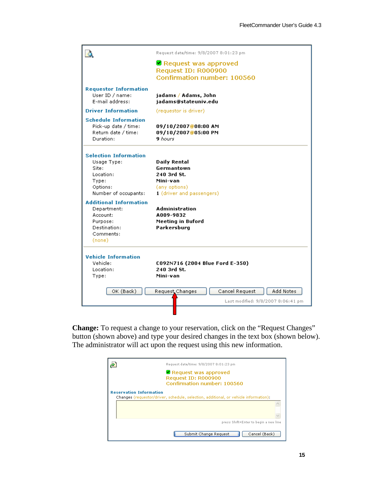|                                                                                                                | Request date/time: 9/8/2007 8:01:23 pm                                                                     |
|----------------------------------------------------------------------------------------------------------------|------------------------------------------------------------------------------------------------------------|
|                                                                                                                | <b>■</b> Request was approved<br>Request ID: R000900<br>Confirmation number: 100560                        |
| <b>Requestor Information</b><br>User ID / name:<br>E-mail address:                                             | jadams / Adams, John<br>jadams@stateuniv.edu                                                               |
| <b>Driver Information</b>                                                                                      | (requestor is driver)                                                                                      |
| <b>Schedule Information</b><br>Pick-up date / time:<br>Return date / time:<br>Duration:                        | 09/10/2007@08:00 AM<br>09/10/2007@05:00 PM<br><b>9</b> hours                                               |
| <b>Selection Information</b><br>Usage Type:<br>Site:<br>Location:<br>Type:<br>Options:<br>Number of occupants: | <b>Daily Rental</b><br>Germantown<br>240 3rd St.<br>Mini-van<br>(any options)<br>1 (driver and passengers) |
| <b>Additional Information</b><br>Department:<br>Account:<br>Purpose:<br>Destination:<br>Comments:<br>(none)    | Administration<br>A009-9832<br>Meeting in Buford<br>Parkersburg                                            |
| <b>Vehicle Information</b><br>Vehicle:<br>Location:<br>Type:                                                   | C092N716 (2004 Blue Ford E-350)<br>240 3rd St.<br>Mini-van                                                 |
| OK (Back)                                                                                                      | Request Changes<br>Cancel Request<br>Add Notes<br>Last modified: 9/8/2007 8:06:41 pm                       |
|                                                                                                                |                                                                                                            |

**Change:** To request a change to your reservation, click on the "Request Changes" button (shown above) and type your desired changes in the text box (shown below). The administrator will act upon the request using this new information.

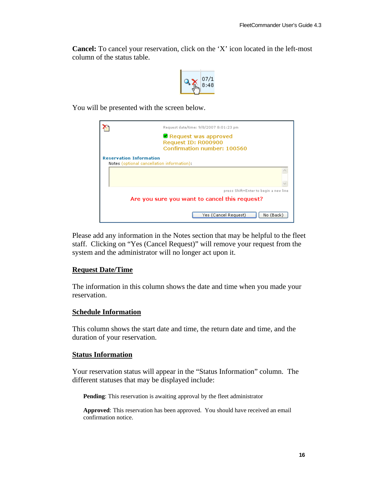**Cancel:** To cancel your reservation, click on the 'X' icon located in the left-most column of the status table.



You will be presented with the screen below.

|                                | Request date/time: 9/8/2007 8:01:23 pm                                              |
|--------------------------------|-------------------------------------------------------------------------------------|
|                                | <b>E</b> Request was approved<br>Request ID: R000900<br>Confirmation number: 100560 |
| <b>Reservation Information</b> | Notes (optional cancellation information):                                          |
|                                |                                                                                     |
|                                |                                                                                     |
|                                | press Shift+Enter to begin a new line                                               |
|                                | Are you sure you want to cancel this request?                                       |
|                                | No (Back)<br>Yes (Cancel Request)                                                   |

Please add any information in the Notes section that may be helpful to the fleet staff. Clicking on "Yes (Cancel Request)" will remove your request from the system and the administrator will no longer act upon it.

#### **Request Date/Time**

The information in this column shows the date and time when you made your reservation.

#### **Schedule Information**

This column shows the start date and time, the return date and time, and the duration of your reservation.

#### **Status Information**

Your reservation status will appear in the "Status Information" column. The different statuses that may be displayed include:

**Pending**: This reservation is awaiting approval by the fleet administrator

**Approved**: This reservation has been approved. You should have received an email confirmation notice.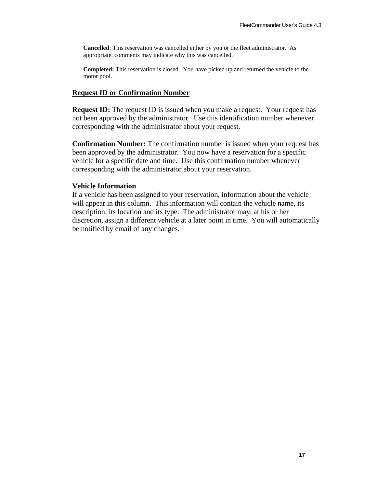**Cancelled**: This reservation was cancelled either by you or the fleet administrator. As appropriate, comments may indicate why this was cancelled.

**Completed:** This reservation is closed. You have picked up and returned the vehicle to the motor pool.

#### **Request ID or Confirmation Number**

**Request ID:** The request ID is issued when you make a request. Your request has not been approved by the administrator. Use this identification number whenever corresponding with the administrator about your request.

**Confirmation Number:** The confirmation number is issued when your request has been approved by the administrator. You now have a reservation for a specific vehicle for a specific date and time. Use this confirmation number whenever corresponding with the administrator about your reservation.

#### **Vehicle Information**

If a vehicle has been assigned to your reservation, information about the vehicle will appear in this column. This information will contain the vehicle name, its description, its location and its type. The administrator may, at his or her discretion, assign a different vehicle at a later point in time. You will automatically be notified by email of any changes.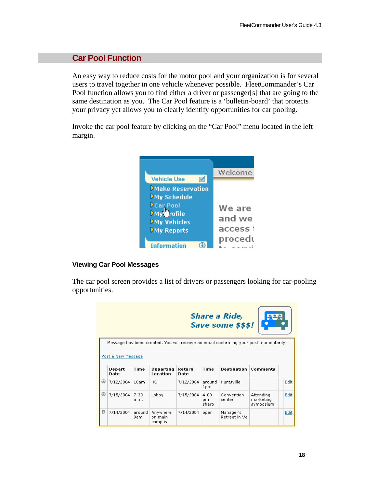## **Car Pool Function**

An easy way to reduce costs for the motor pool and your organization is for several users to travel together in one vehicle whenever possible. FleetCommander's Car Pool function allows you to find either a driver or passenger[s] that are going to the same destination as you. The Car Pool feature is a 'bulletin-board' that protects your privacy yet allows you to clearly identify opportunities for car pooling.

Invoke the car pool feature by clicking on the "Car Pool" menu located in the left margin.



#### **Viewing Car Pool Messages**

The car pool screen provides a list of drivers or passengers looking for car-pooling opportunities.

|                                                                                                             |                |               |                               |                |                      | <b>Share a Ride,</b><br>Save some \$\$\$! |                                      |      |
|-------------------------------------------------------------------------------------------------------------|----------------|---------------|-------------------------------|----------------|----------------------|-------------------------------------------|--------------------------------------|------|
| Message has been created. You will receive an email confirming your post momentarily.<br>Post a New Message |                |               |                               |                |                      |                                           |                                      |      |
|                                                                                                             | Depart<br>Date | <b>Time</b>   | Departing<br>Location         | Return<br>Date | Time                 | <b>Destination</b>                        | Comments                             |      |
| ⊜                                                                                                           | 7/12/2004      | 10am          | HQ.                           | 7/12/2004      | around<br>1pm        | Huntsville                                |                                      | Edit |
| ⊜                                                                                                           | 7/15/2004      | 7:30<br>a.m.  | Lobby                         | 7/15/2004      | 4:00<br>pm.<br>sharp | Convention<br>center                      | Attending<br>marketing<br>symposium. | Edit |
| ø                                                                                                           | 7/14/2004      | around<br>9am | Anywhere<br>on main<br>campus | 7/14/2004      | open                 | Manager's<br>Retreat in Va                |                                      | Edit |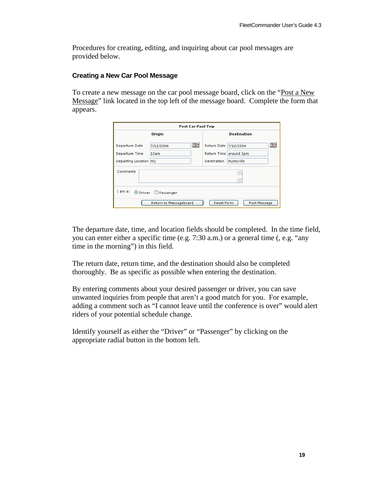Procedures for creating, editing, and inquiring about car pool messages are provided below.

#### **Creating a New Car Pool Message**

To create a new message on the car pool message board, click on the "Post a New Message" link located in the top left of the message board. Complete the form that appears.

| <b>Post Car Pool Trip</b>                                                                                |                                                                                             |  |  |  |
|----------------------------------------------------------------------------------------------------------|---------------------------------------------------------------------------------------------|--|--|--|
| Origin                                                                                                   | <b>Destination</b>                                                                          |  |  |  |
| $\overline{\bullet}$ .<br>Departure Date<br>7/12/2004<br>Departure Time<br>10am<br>Departing Location HQ | ভা<br>Return Date   7/12/2004<br>Return Time around 1pm<br><b>Destination</b><br>Huntsville |  |  |  |
| Comments                                                                                                 |                                                                                             |  |  |  |
| I am a:<br>O Driver O Passenger<br>Return to Messageboard<br>Reset Form<br>Post Message                  |                                                                                             |  |  |  |

The departure date, time, and location fields should be completed. In the time field, you can enter either a specific time (e.g. 7:30 a.m.) or a general time (, e.g. "any time in the morning") in this field.

The return date, return time, and the destination should also be completed thoroughly. Be as specific as possible when entering the destination.

By entering comments about your desired passenger or driver, you can save unwanted inquiries from people that aren't a good match for you. For example, adding a comment such as "I cannot leave until the conference is over" would alert riders of your potential schedule change.

Identify yourself as either the "Driver" or "Passenger" by clicking on the appropriate radial button in the bottom left.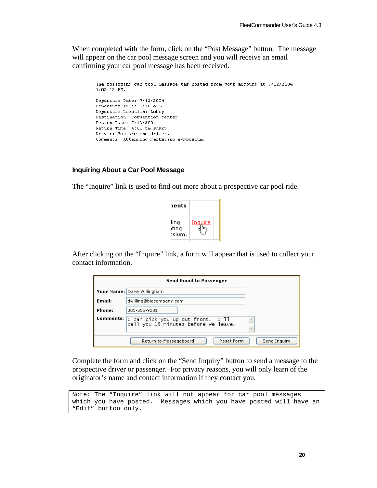When completed with the form, click on the "Post Message" button. The message will appear on the car pool message screen and you will receive an email confirming your car pool message has been received.

```
The following car pool message was posted from your account at 7/12/2004
1:03:13 PM.
Departure Date: 7/12/2004
Departure Time: 7:30 a.m.
Departure Location: Lobby
Destination: Convention center
Return Date: 7/12/2004
Return Time: 4:00 pm sharp
Driver: You are the driver.
Comments: Attending marketing symposium.
```
#### **Inquiring About a Car Pool Message**

The "Inquire" link is used to find out more about a prospective car pool ride.

| aents                  |         |
|------------------------|---------|
| ling<br>ting<br>)sium. | Inquire |

After clicking on the "Inquire" link, a form will appear that is used to collect your contact information.

|           | <b>Send Email to Passenger</b>                                            |
|-----------|---------------------------------------------------------------------------|
|           | Your Name: Dave Willingham                                                |
| Email:    | dwilling@bigcompany.com                                                   |
| Phone:    | 301-555-9281                                                              |
| Comments: | I can pick you up out front. I'll<br>call you 15 minutes before we leave. |
|           | Send Inquiry<br>Return to Messageboard<br>Reset Form                      |

Complete the form and click on the "Send Inquiry" button to send a message to the prospective driver or passenger. For privacy reasons, you will only learn of the originator's name and contact information if they contact you.

```
Note: The "Inquire" link will not appear for car pool messages 
which you have posted. Messages which you have posted will have an 
"Edit" button only.
```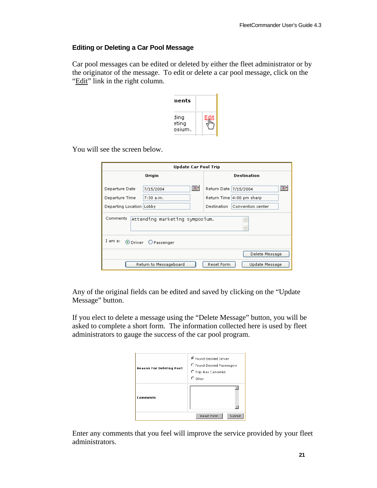#### **Editing or Deleting a Car Pool Message**

Car pool messages can be edited or deleted by either the fleet administrator or by the originator of the message. To edit or delete a car pool message, click on the "Edit" link in the right column.

| nents                   |      |
|-------------------------|------|
| ding<br>eting<br>osium. | Edit |

You will see the screen below.

| <b>Update Car Pool Trip</b>                           |                                 |  |  |  |
|-------------------------------------------------------|---------------------------------|--|--|--|
| Origin                                                | Destination                     |  |  |  |
| $\overline{\bullet}$ .<br>Departure Date<br>7/15/2004 | 1300<br>Return Date   7/15/2004 |  |  |  |
| Departure Time<br>$7:30$ a.m.                         | Return Time 4:00 pm sharp       |  |  |  |
| Departing Location Lobby                              | Destination   Convention center |  |  |  |
| Comments<br>Attending marketing symposium.            |                                 |  |  |  |
| I am a: O Driver O Passenger                          |                                 |  |  |  |
|                                                       | Delete Message                  |  |  |  |
| Return to Messageboard                                | Reset Form<br>Update Message    |  |  |  |

Any of the original fields can be edited and saved by clicking on the "Update Message" button.

If you elect to delete a message using the "Delete Message" button, you will be asked to complete a short form. The information collected here is used by fleet administrators to gauge the success of the car pool program.

| <b>Reason For Deleting Post:</b> | <sup>6</sup> Found Desired Driver<br>C Found Desired Passengers<br>C Trip Was Cancelled<br>$\circ$ other |  |  |
|----------------------------------|----------------------------------------------------------------------------------------------------------|--|--|
| <b>Comments</b>                  | Submit<br>Reset Form                                                                                     |  |  |

Enter any comments that you feel will improve the service provided by your fleet administrators.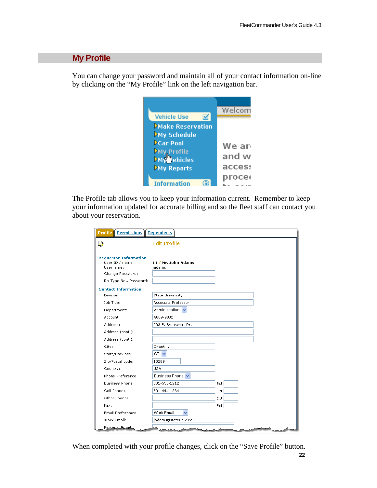### **My Profile**

You can change your password and maintain all of your contact information on-line by clicking on the "My Profile" link on the left navigation bar.



The Profile tab allows you to keep your information current. Remember to keep your information updated for accurate billing and so the fleet staff can contact you about your reservation.

| <b>Profile   Permissions   Dependents</b>                                        |                               |      |  |
|----------------------------------------------------------------------------------|-------------------------------|------|--|
|                                                                                  | <b>Edit Profile</b>           |      |  |
| <b>Requestor Information</b><br>User ID / name:<br>Username:<br>Change Password: | 11 / Mr. John Adams<br>jadams |      |  |
| Re-Type New Password:                                                            |                               |      |  |
| <b>Contact Information</b>                                                       |                               |      |  |
| Division:                                                                        | <b>State University</b>       |      |  |
| Job Title:                                                                       | Associate Professor           |      |  |
| Department:                                                                      | Administration v              |      |  |
| Account:                                                                         | A009-9832                     |      |  |
| Address:                                                                         | 203 E. Brunswick Dr.          |      |  |
| Address (cont.):                                                                 |                               |      |  |
| Address (cont.):                                                                 |                               |      |  |
| City:                                                                            | Chantilly                     |      |  |
| State/Province:                                                                  | $CT$ $\vee$                   |      |  |
| Zip/Postal code:                                                                 | 10289                         |      |  |
| Country:                                                                         | USA                           |      |  |
| Phone Preference:                                                                | Business Phone v              |      |  |
| <b>Business Phone:</b>                                                           | 301-555-1212                  | Ext  |  |
| Cell Phone:                                                                      | 301-444-1234                  | Ext  |  |
| Other Phone:                                                                     |                               | Ext. |  |
| Fax:                                                                             |                               | Ext  |  |
| Email Preference:                                                                | Work Email<br>v               |      |  |
| Work Email:                                                                      | jadams@stateuniv.edu          |      |  |
| Personal Emails                                                                  |                               |      |  |

 **22** When completed with your profile changes, click on the "Save Profile" button.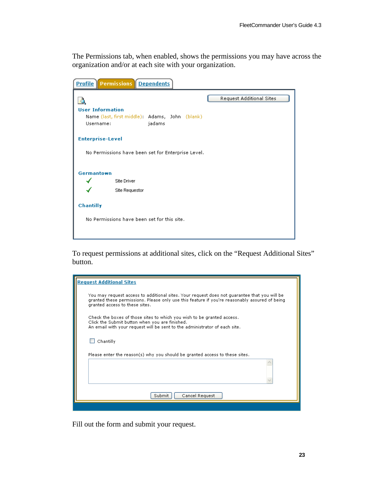The Permissions tab, when enabled, shows the permissions you may have across the organization and/or at each site with your organization.

| <b>Profile   Permissions   Dependents</b>                                                        |                          |  |  |  |  |
|--------------------------------------------------------------------------------------------------|--------------------------|--|--|--|--|
| <b>User Information</b><br>Name (last, first middle): Adams, John (blank)<br>jadams<br>Username: | Request Additional Sites |  |  |  |  |
| <b>Enterprise-Level</b>                                                                          |                          |  |  |  |  |
| No Permissions have been set for Enterprise Level.                                               |                          |  |  |  |  |
| Germantown                                                                                       |                          |  |  |  |  |
| Site Driver                                                                                      |                          |  |  |  |  |
| Site Requestor                                                                                   |                          |  |  |  |  |
| Chantilly                                                                                        |                          |  |  |  |  |
| No Permissions have been set for this site.                                                      |                          |  |  |  |  |

To request permissions at additional sites, click on the "Request Additional Sites" button.

| <b>Request Additional Sites</b>                                                                                                                                                                                                 |  |  |  |  |
|---------------------------------------------------------------------------------------------------------------------------------------------------------------------------------------------------------------------------------|--|--|--|--|
| You may request access to additional sites. Your request does not quarantee that you will be<br>granted these permissions. Please only use this feature if you're reasonably assured of being<br>granted access to these sites. |  |  |  |  |
| Check the boxes of those sites to which you wish to be granted access.<br>Click the Submit button when you are finished.<br>An email with your request will be sent to the administrator of each site.                          |  |  |  |  |
| Chantilly                                                                                                                                                                                                                       |  |  |  |  |
| Please enter the reason(s) why you should be granted access to these sites.                                                                                                                                                     |  |  |  |  |
|                                                                                                                                                                                                                                 |  |  |  |  |
| Submit<br>Cancel Request                                                                                                                                                                                                        |  |  |  |  |
|                                                                                                                                                                                                                                 |  |  |  |  |

Fill out the form and submit your request.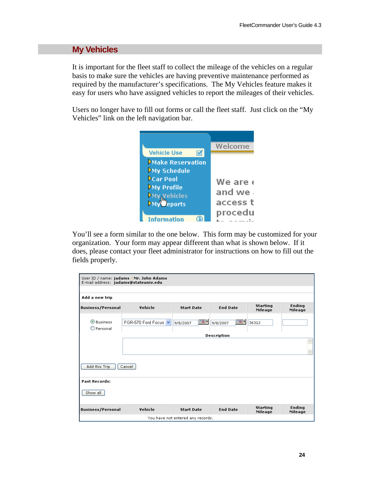## **My Vehicles**

It is important for the fleet staff to collect the mileage of the vehicles on a regular basis to make sure the vehicles are having preventive maintenance performed as required by the manufacturer's specifications. The My Vehicles feature makes it easy for users who have assigned vehicles to report the mileages of their vehicles.

Users no longer have to fill out forms or call the fleet staff. Just click on the "My Vehicles" link on the left navigation bar.



You'll see a form similar to the one below. This form may be customized for your organization. Your form may appear different than what is shown below. If it does, please contact your fleet administrator for instructions on how to fill out the fields properly.

| User ID / name: jadams / Mr. John Adams<br>E-mail address: jadams@stateuniv.edu |                    |                                     |                                       |                            |                          |
|---------------------------------------------------------------------------------|--------------------|-------------------------------------|---------------------------------------|----------------------------|--------------------------|
| Add a new trip                                                                  |                    |                                     |                                       |                            |                          |
| <b>Business/Personal</b>                                                        | Vehicle            | <b>Start Date</b>                   | <b>End Date</b>                       | <b>Starting</b><br>Mileage | <b>Ending</b><br>Mileage |
| <b>O</b> Business<br>$\bigcirc$ Personal                                        | FGR-570 Ford Focus | $\overline{\mathbb{R}}$<br>9/8/2007 | $\overline{\mathbb{R}}$ .<br>9/8/2007 | 36312                      |                          |
|                                                                                 |                    |                                     | <b>Description</b>                    |                            |                          |
|                                                                                 |                    |                                     |                                       |                            |                          |
| Add this Trip<br>Cancel                                                         |                    |                                     |                                       |                            |                          |
| <b>Past Records:</b>                                                            |                    |                                     |                                       |                            |                          |
| Show all                                                                        |                    |                                     |                                       |                            |                          |
| <b>Business/Personal</b>                                                        | Vehicle            | <b>Start Date</b>                   | <b>End Date</b>                       | <b>Starting</b><br>Mileage | <b>Ending</b><br>Mileage |
|                                                                                 |                    | You have not entered any records.   |                                       |                            |                          |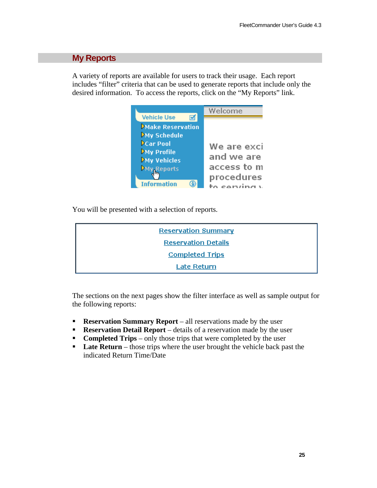## **My Reports**

A variety of reports are available for users to track their usage. Each report includes "filter" criteria that can be used to generate reports that include only the desired information. To access the reports, click on the "My Reports" link.



You will be presented with a selection of reports.

| <b>Reservation Summary</b> |
|----------------------------|
| <b>Reservation Details</b> |
| <b>Completed Trips</b>     |
| Late Return                |

The sections on the next pages show the filter interface as well as sample output for the following reports:

- **Reservation Summary Report** all reservations made by the user
- **Reservation Detail Report** details of a reservation made by the user
- **Completed Trips** only those trips that were completed by the user
- **Late Return** those trips where the user brought the vehicle back past the indicated Return Time/Date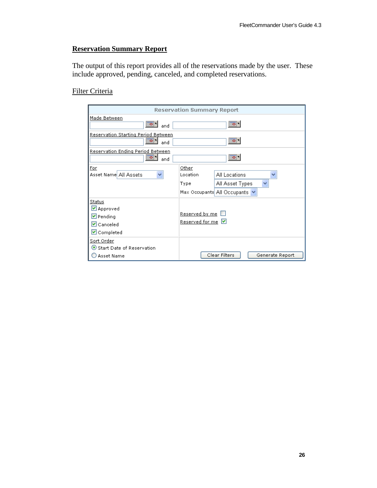## **Reservation Summary Report**

The output of this report provides all of the reservations made by the user. These include approved, pending, canceled, and completed reservations.

## Filter Criteria

| <b>Reservation Summary Report</b>                                                      |                                   |                                                   |  |  |  |  |  |
|----------------------------------------------------------------------------------------|-----------------------------------|---------------------------------------------------|--|--|--|--|--|
| Made Between<br>les 1<br>  ∞<br>and                                                    |                                   |                                                   |  |  |  |  |  |
| Reservation Starting Period Between<br>- Tō -<br>ਾਕਾ<br>and                            |                                   |                                                   |  |  |  |  |  |
| Reservation Ending Period Between<br>lo I<br>and                                       |                                   | <b>Bo</b> -                                       |  |  |  |  |  |
| <u>For</u><br>Asset Name All Assets<br>v                                               | Other<br>Location<br>Type         | All Locations<br>٧<br>v<br>All Asset Types        |  |  |  |  |  |
|                                                                                        |                                   | Max Occupants All Occupants $\blacktriangleright$ |  |  |  |  |  |
| Status<br>$\vee$ Approved<br>⊻ Pending<br>$\triangledown$ Canceled<br>$\vee$ Completed | Reserved by me<br>Reserved for me |                                                   |  |  |  |  |  |
| <u>Sort Order</u><br>$\bullet$ Start Date of Reservation<br>Asset Name                 |                                   | Clear Filters<br>Generate Report                  |  |  |  |  |  |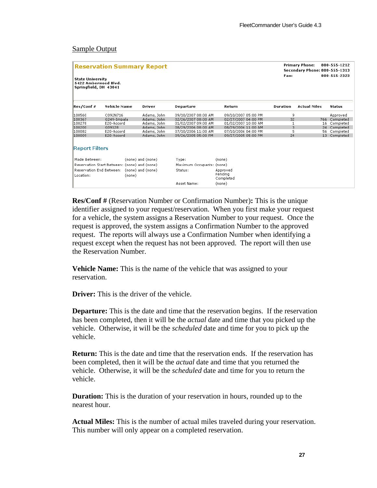#### Sample Output

| <b>Reservation Summary Report</b><br><b>State University</b><br>5422 Amberwood Blvd.<br>Springfield, OH 43041 |                                                      |                   |                           |                                  | <b>Primary Phone:</b><br><b>Secondary Phone: 800-555-1313</b><br>Fax: |                     | 800-555-1212<br>800-555-2323 |  |
|---------------------------------------------------------------------------------------------------------------|------------------------------------------------------|-------------------|---------------------------|----------------------------------|-----------------------------------------------------------------------|---------------------|------------------------------|--|
| Res/Conf #                                                                                                    | <b>Vehicle Name</b>                                  | Driver            | Departure                 | Return                           | <b>Duration</b>                                                       | <b>Actual Miles</b> | <b>Status</b>                |  |
| 100560                                                                                                        | C092N716                                             | Adams, John       | 09/10/2007 08:00 AM       | 09/10/2007 05:00 PM              | 9                                                                     |                     | Approved                     |  |
| 100367                                                                                                        | G249-Impala                                          | Adams, John       | 02/26/2007 08:00 AM       | 02/27/2007 04:00 PM              | 32                                                                    | 766                 | Completed                    |  |
| 100278                                                                                                        | E20-Accord                                           | Adams, John       | 01/02/2007 09:00 AM       | 01/02/2007 10:00 AM              | 1                                                                     | 16                  | Completed                    |  |
| 100200                                                                                                        | G09128                                               | Adams, John       | 08/29/2006 08:00 AM       | 08/29/2006 11:00 AM              | 3                                                                     | 24                  | Completed                    |  |
| 100082                                                                                                        | E20-Accord                                           | Adams, John       | 07/10/2006 11:00 AM       | 07/10/2006 04:00 PM              | 5                                                                     | 56                  | Completed                    |  |
| 100009                                                                                                        | E20-Accord                                           | Adams, John       | 09/26/2005 05:00 PM       | 09/27/2005 05:00 PM              | 24                                                                    | 13 <sup>13</sup>    | Completed                    |  |
| <b>Report Filters</b>                                                                                         |                                                      |                   |                           |                                  |                                                                       |                     |                              |  |
| Made Between:                                                                                                 |                                                      | (none) and (none) | Type:                     | (none)                           |                                                                       |                     |                              |  |
|                                                                                                               | Reservation Start Between: (none) and (none)         |                   | Maximum Occupants: (none) |                                  |                                                                       |                     |                              |  |
| Location:                                                                                                     | Reservation End Between: (none) and (none)<br>(none) |                   | Status:                   | Approved<br>Pending<br>Completed |                                                                       |                     |                              |  |
|                                                                                                               |                                                      |                   | Asset Name:               | (none)                           |                                                                       |                     |                              |  |

**Res/Conf #** (Reservation Number or Confirmation Number)**:** This is the unique identifier assigned to your request/reservation. When you first make your request for a vehicle, the system assigns a Reservation Number to your request. Once the request is approved, the system assigns a Confirmation Number to the approved request. The reports will always use a Confirmation Number when identifying a request except when the request has not been approved. The report will then use the Reservation Number.

**Vehicle Name:** This is the name of the vehicle that was assigned to your reservation.

**Driver:** This is the driver of the vehicle.

**Departure:** This is the date and time that the reservation begins. If the reservation has been completed, then it will be the *actual* date and time that you picked up the vehicle. Otherwise, it will be the *scheduled* date and time for you to pick up the vehicle.

**Return:** This is the date and time that the reservation ends. If the reservation has been completed, then it will be the *actual* date and time that you returned the vehicle. Otherwise, it will be the *scheduled* date and time for you to return the vehicle.

**Duration:** This is the duration of your reservation in hours, rounded up to the nearest hour.

**Actual Miles:** This is the number of actual miles traveled during your reservation. This number will only appear on a completed reservation.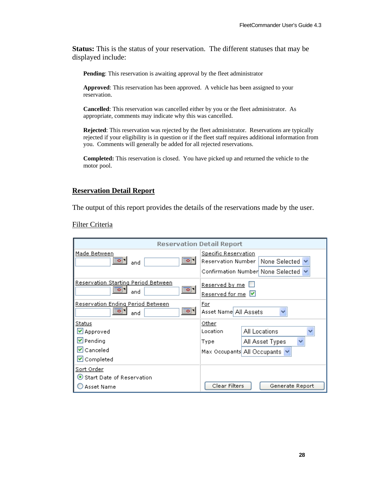**Status:** This is the status of your reservation. The different statuses that may be displayed include:

**Pending**: This reservation is awaiting approval by the fleet administrator

**Approved**: This reservation has been approved. A vehicle has been assigned to your reservation.

**Cancelled**: This reservation was cancelled either by you or the fleet administrator. As appropriate, comments may indicate why this was cancelled.

**Rejected**: This reservation was rejected by the fleet administrator. Reservations are typically rejected if your eligibility is in question or if the fleet staff requires additional information from you. Comments will generally be added for all rejected reservations.

**Completed:** This reservation is closed. You have picked up and returned the vehicle to the motor pool.

#### **Reservation Detail Report**

The output of this report provides the details of the reservations made by the user.

Filter Criteria

|                                                                        | <b>Reservation Detail Report</b>                                                                              |
|------------------------------------------------------------------------|---------------------------------------------------------------------------------------------------------------|
| Made Between<br>  ठ ।<br>⊞ਠ! '<br>and                                  | <b>Specific Reservation</b><br>Reservation Number  <br>None Selected V<br>Confirmation Number None Selected ↓ |
| Reservation Starting Period Between<br>⊞ਲ ।<br>⊞ञ∣<br>and              | <u>Reserved by me</u><br>Reserved for me                                                                      |
| <u>Reservation Ending Period Between</u><br><b>Bo</b> 1<br>lo 1<br>and | For<br>Asset Namel All Assets                                                                                 |
| <b>Status</b>                                                          | <u>Other</u>                                                                                                  |
| ⊻ Approved                                                             | All Locations<br>Location                                                                                     |
| $\triangleright$ Pending                                               | $\checkmark$<br>All Asset Types<br>Type                                                                       |
| $\overline{\mathbf{v}}$ Canceled                                       | Max Occupants All Occupants                                                                                   |
| $\triangledown$ Completed                                              |                                                                                                               |
| <u>Sort Order</u>                                                      |                                                                                                               |
| Start Date of Reservation                                              |                                                                                                               |
| Asset Name                                                             | Clear Filters<br>Generate Report                                                                              |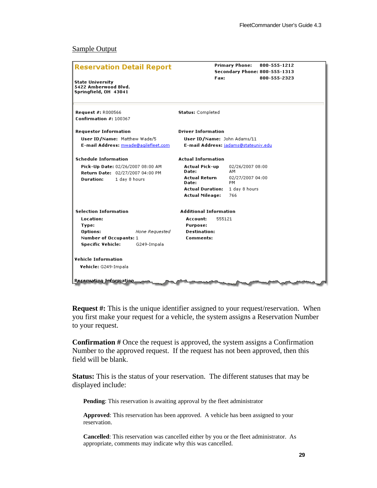#### Sample Output

| <b>Reservation Detail Report</b>                                         | Fax:                             | <b>Primary Phone:</b><br>800-555-1212<br><b>Secondary Phone: 800-555-1313</b><br>800-555-2323 |
|--------------------------------------------------------------------------|----------------------------------|-----------------------------------------------------------------------------------------------|
| <b>State University</b><br>5422 Amberwood Blvd.<br>Springfield, OH 43041 |                                  |                                                                                               |
| <b>Request #: R000566</b><br>Confirmation #: 100367                      | <b>Status: Completed</b>         |                                                                                               |
| <b>Requestor Information</b>                                             | <b>Driver Information</b>        |                                                                                               |
| User ID/Name: Matthew Wade/5                                             | User ID/Name: John Adams/11      |                                                                                               |
| E-mail Address: mwade@agilefleet.com                                     |                                  | E-mail Address: jadams@stateuniv.edu                                                          |
| <b>Schedule Information</b>                                              | <b>Actual Information</b>        |                                                                                               |
| Pick-Up Date: 02/26/2007 08:00 AM<br>Return Date: 02/27/2007 04:00 PM    | <b>Actual Pick-up</b><br>Date:   | 02/26/2007 08:00<br>AМ                                                                        |
| 1 day 8 hours<br><b>Duration:</b>                                        | <b>Actual Return</b><br>Date:    | 02/27/2007 04:00<br>PM                                                                        |
|                                                                          | <b>Actual Duration:</b>          | 1 day 8 hours                                                                                 |
|                                                                          | <b>Actual Mileage:</b>           | 766                                                                                           |
| <b>Selection Information</b>                                             | <b>Additional Information</b>    |                                                                                               |
| Location:                                                                | Account:<br>555121               |                                                                                               |
| Type:                                                                    | Purpose:                         |                                                                                               |
| Options:<br>None Requested<br>Number of Occupants: 1                     | <b>Destination:</b><br>Comments: |                                                                                               |
| <b>Specific Vehicle:</b><br>G249-Impala                                  |                                  |                                                                                               |
|                                                                          |                                  |                                                                                               |
| <b>Vehicle Information</b>                                               |                                  |                                                                                               |
| Vehicle: G249-Impala                                                     |                                  |                                                                                               |
|                                                                          |                                  |                                                                                               |
| Reservation <i>Frequenation</i>                                          |                                  |                                                                                               |

**Request #:** This is the unique identifier assigned to your request/reservation. When you first make your request for a vehicle, the system assigns a Reservation Number to your request.

**Confirmation #** Once the request is approved, the system assigns a Confirmation Number to the approved request. If the request has not been approved, then this field will be blank.

**Status:** This is the status of your reservation. The different statuses that may be displayed include:

**Pending**: This reservation is awaiting approval by the fleet administrator

**Approved**: This reservation has been approved. A vehicle has been assigned to your reservation.

**Cancelled**: This reservation was cancelled either by you or the fleet administrator. As appropriate, comments may indicate why this was cancelled.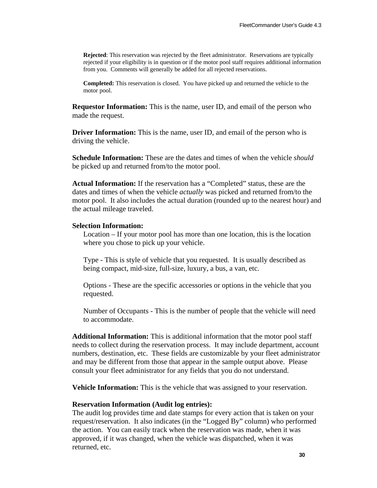**Rejected**: This reservation was rejected by the fleet administrator. Reservations are typically rejected if your eligibility is in question or if the motor pool staff requires additional information from you. Comments will generally be added for all rejected reservations.

**Completed:** This reservation is closed. You have picked up and returned the vehicle to the motor pool.

**Requestor Information:** This is the name, user ID, and email of the person who made the request.

**Driver Information:** This is the name, user ID, and email of the person who is driving the vehicle.

**Schedule Information:** These are the dates and times of when the vehicle *should* be picked up and returned from/to the motor pool.

**Actual Information:** If the reservation has a "Completed" status, these are the dates and times of when the vehicle *actually* was picked and returned from/to the motor pool. It also includes the actual duration (rounded up to the nearest hour) and the actual mileage traveled.

#### **Selection Information:**

Location – If your motor pool has more than one location, this is the location where you chose to pick up your vehicle.

Type - This is style of vehicle that you requested. It is usually described as being compact, mid-size, full-size, luxury, a bus, a van, etc.

Options - These are the specific accessories or options in the vehicle that you requested.

Number of Occupants - This is the number of people that the vehicle will need to accommodate.

**Additional Information:** This is additional information that the motor pool staff needs to collect during the reservation process. It may include department, account numbers, destination, etc. These fields are customizable by your fleet administrator and may be different from those that appear in the sample output above. Please consult your fleet administrator for any fields that you do not understand.

**Vehicle Information:** This is the vehicle that was assigned to your reservation.

#### **Reservation Information (Audit log entries):**

The audit log provides time and date stamps for every action that is taken on your request/reservation. It also indicates (in the "Logged By" column) who performed the action. You can easily track when the reservation was made, when it was approved, if it was changed, when the vehicle was dispatched, when it was returned, etc.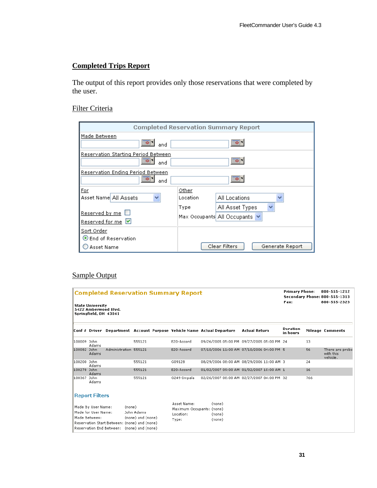## **Completed Trips Report**

The output of this report provides only those reservations that were completed by the user.

#### Filter Criteria

| <b>Completed Reservation Summary Report</b>            |                   |                                                |  |  |  |  |
|--------------------------------------------------------|-------------------|------------------------------------------------|--|--|--|--|
| Made Between<br>and                                    |                   |                                                |  |  |  |  |
| Reservation Starting Period Between<br>and             |                   |                                                |  |  |  |  |
| Reservation Ending Period Between<br>and               | 뼈이                |                                                |  |  |  |  |
| Eor<br>Asset Name All Assets                           | Other<br>Location | All Locations                                  |  |  |  |  |
| <u>Reserved by me</u><br>Reserved for me               | Type              | All Asset Types<br>Max Occupants All Occupants |  |  |  |  |
| Sort Order<br>$\odot$ End of Reservation<br>Asset Name |                   | Clear Filters<br>Generate Report               |  |  |  |  |

## Sample Output

| <b>Completed Reservation Summary Report</b><br><b>State University</b><br>5422 Amberwood Blvd.<br>Springfield, OH 43041                                                                               |                       |                                                                |                                                                        |             |  | <b>Primary Phone:</b><br><b>Secondary Phone: 800-555-1313</b><br>Fax: |                      | 800-555-1212<br>800-555-2323 |                                          |
|-------------------------------------------------------------------------------------------------------------------------------------------------------------------------------------------------------|-----------------------|----------------------------------------------------------------|------------------------------------------------------------------------|-------------|--|-----------------------------------------------------------------------|----------------------|------------------------------|------------------------------------------|
|                                                                                                                                                                                                       |                       |                                                                | Conf # Driver Department Account Purpose Vehicle Name Actual Departure |             |  | <b>Actual Return</b>                                                  | Duration<br>in hours |                              | <b>Mileage Comments</b>                  |
| 100009 John                                                                                                                                                                                           | Adams                 |                                                                | 555121                                                                 | E20-Accord  |  | 09/26/2005 05:00 PM 09/27/2005 05:00 PM 24                            |                      | 13                           |                                          |
| 100082 John                                                                                                                                                                                           | Adams                 | Administration 555121                                          |                                                                        | E20-Accord  |  | 07/10/2006 11:00 AM 07/10/2006 04:00 PM 5                             |                      | 56                           | There are probs<br>with this<br>vehicle. |
| 100200 John                                                                                                                                                                                           | Adams                 |                                                                | 555121                                                                 | G09128      |  | 08/29/2006 08:00 AM 08/29/2006 11:00 AM 3                             |                      | 24                           |                                          |
| 100278 John                                                                                                                                                                                           | Adams                 |                                                                | 555121                                                                 | E20-Accord  |  | 01/02/2007 09:00 AM 01/02/2007 10:00 AM 1                             |                      | 16                           |                                          |
| 100367 John                                                                                                                                                                                           | Adams                 |                                                                | 555121                                                                 | G249-Impala |  | 02/26/2007 08:00 AM 02/27/2007 04:00 PM 32                            |                      | 766                          |                                          |
|                                                                                                                                                                                                       | <b>Report Filters</b> |                                                                |                                                                        |             |  |                                                                       |                      |                              |                                          |
| Made By User Name:<br>(none)<br>John Adams<br>Made for User Name:<br>Made Between:<br>(none) and (none)<br>Reservation Start Between: (none) and (none)<br>Reservation End Between: (none) and (none) |                       | Asset Name:<br>Maximum Occupants: (none)<br>Location:<br>Type: | (none)<br>(none)<br>(none)                                             |             |  |                                                                       |                      |                              |                                          |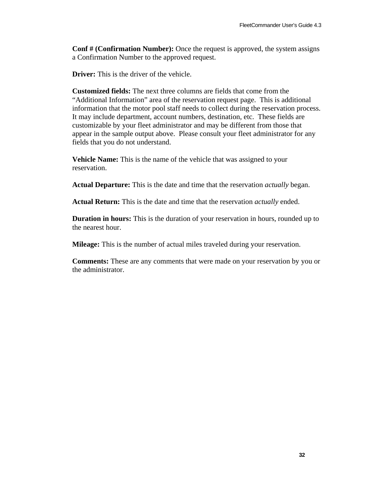**Conf # (Confirmation Number):** Once the request is approved, the system assigns a Confirmation Number to the approved request.

**Driver:** This is the driver of the vehicle.

**Customized fields:** The next three columns are fields that come from the "Additional Information" area of the reservation request page. This is additional information that the motor pool staff needs to collect during the reservation process. It may include department, account numbers, destination, etc. These fields are customizable by your fleet administrator and may be different from those that appear in the sample output above. Please consult your fleet administrator for any fields that you do not understand.

**Vehicle Name:** This is the name of the vehicle that was assigned to your reservation.

**Actual Departure:** This is the date and time that the reservation *actually* began.

**Actual Return:** This is the date and time that the reservation *actually* ended.

**Duration in hours:** This is the duration of your reservation in hours, rounded up to the nearest hour.

**Mileage:** This is the number of actual miles traveled during your reservation.

**Comments:** These are any comments that were made on your reservation by you or the administrator.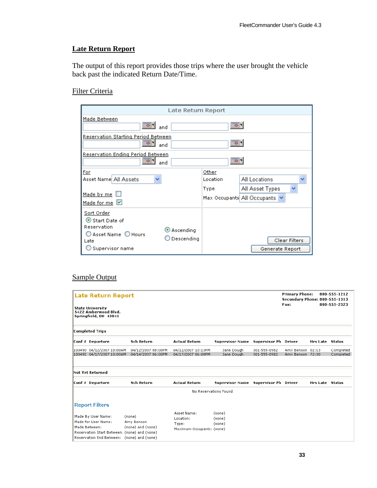## **Late Return Report**

The output of this report provides those trips where the user brought the vehicle back past the indicated Return Date/Time.

## Filter Criteria

| Late Return Report                                                                                                                                                  |                                                                                                                 |
|---------------------------------------------------------------------------------------------------------------------------------------------------------------------|-----------------------------------------------------------------------------------------------------------------|
| Made Between<br>         <br>and                                                                                                                                    | ಾ                                                                                                               |
| Reservation Starting Period Between<br><b>To</b> 1<br>and                                                                                                           | ▩                                                                                                               |
| Reservation Ending Period Between<br>and                                                                                                                            |                                                                                                                 |
| <b>For</b><br>Asset Name All Assets<br>v<br>Made by me<br>Made for me $\vert \vee \vert$                                                                            | Other<br>All Locations<br>Location<br>$\checkmark$<br>All Asset Types<br>Type<br>Max Occupants  All Occupants ∨ |
| Sort Order<br>$\odot$ Start Date of<br>Reservation<br>$\mathbf{\odot}$ Ascending<br>$\bigcirc$ Asset Name $\bigcirc$ Hours<br>Descending<br>Late<br>Supervisor name | Clear Filters<br>Generate Report                                                                                |

## Sample Output

| Late Return Report<br><b>State University</b><br>5422 Amberwood Blvd.<br>Springfield, OH 43041                                                           |                                           |                                                                |                                      |                              | <b>Primary Phone:</b><br><b>Secondary Phone: 800-555-1313</b><br>Fax: |                        | 800-555-1212<br>800-555-2323 |
|----------------------------------------------------------------------------------------------------------------------------------------------------------|-------------------------------------------|----------------------------------------------------------------|--------------------------------------|------------------------------|-----------------------------------------------------------------------|------------------------|------------------------------|
| <b>Completed Trips</b>                                                                                                                                   |                                           |                                                                |                                      |                              |                                                                       |                        |                              |
| Conf # Departure                                                                                                                                         | <b>Sch Return</b>                         | <b>Actual Return</b>                                           | Supervisor Name                      | Supervisor Ph Driver         |                                                                       | <b>Hrs Late Status</b> |                              |
| 100490 04/12/2007 10:00AM<br>100492 04/17/2007 10:00AM                                                                                                   | 04/12/2007 08:00PM<br>04/14/2007 06:00PM  | 04/12/2007 10:13PM<br>04/17/2007 06:00PM                       | Jane Dough<br>Jane Dough             | 301-555-0982<br>301-555-0982 | Amy Benson 02:13<br>Amy Benson 72:00                                  |                        | Completed<br>Completed       |
| Not Yet Returned                                                                                                                                         |                                           |                                                                |                                      |                              |                                                                       |                        |                              |
| Conf # Departure                                                                                                                                         | <b>Sch Return</b>                         | <b>Actual Return</b>                                           | Supervisor Name Supervisor Ph Driver |                              |                                                                       | <b>Hrs Late Status</b> |                              |
|                                                                                                                                                          |                                           | No Reservations Found                                          |                                      |                              |                                                                       |                        |                              |
| <b>Report Filters</b>                                                                                                                                    |                                           |                                                                |                                      |                              |                                                                       |                        |                              |
| Made By User Name:<br>Made for User Name:<br>Made Between:<br>Reservation Start Between: (none) and (none)<br>Reservation End Between: (none) and (none) | (none)<br>Amy Benson<br>(none) and (none) | Asset Name:<br>Location:<br>Type:<br>Maximum Occupants: (none) | (none)<br>(none)<br>(none)           |                              |                                                                       |                        |                              |